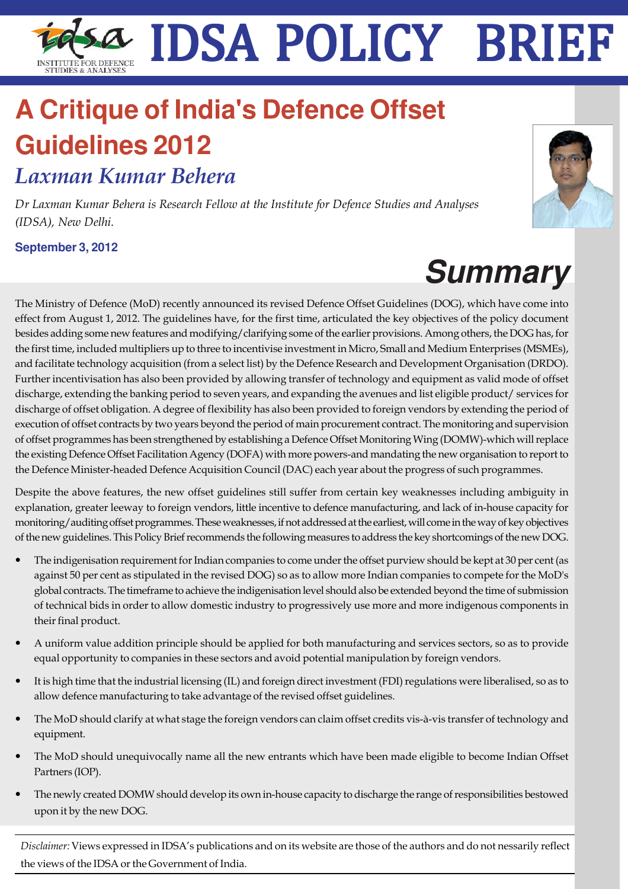# IDSA Policy Brief **1** IDSA POLICY BRIEF

# **A Critique of India's Defence Offset Guidelines 2012**

*Laxman Kumar Behera*

*Dr Laxman Kumar Behera is Research Fellow at the Institute for Defence Studies and Analyses (IDSA), New Delhi.*

**September 3, 2012**



The Ministry of Defence (MoD) recently announced its revised Defence Offset Guidelines (DOG), which have come into effect from August 1, 2012. The guidelines have, for the first time, articulated the key objectives of the policy document besides adding some new features and modifying/clarifying some of the earlier provisions. Among others, the DOG has, for the first time, included multipliers up to three to incentivise investment in Micro, Small and Medium Enterprises (MSMEs), and facilitate technology acquisition (from a select list) by the Defence Research and Development Organisation (DRDO). Further incentivisation has also been provided by allowing transfer of technology and equipment as valid mode of offset discharge, extending the banking period to seven years, and expanding the avenues and list eligible product/ services for discharge of offset obligation. A degree of flexibility has also been provided to foreign vendors by extending the period of execution of offset contracts by two years beyond the period of main procurement contract. The monitoring and supervision of offset programmes has been strengthened by establishing a Defence Offset Monitoring Wing (DOMW)-which will replace the existing Defence Offset Facilitation Agency (DOFA) with more powers-and mandating the new organisation to report to the Defence Minister-headed Defence Acquisition Council (DAC) each year about the progress of such programmes.

Despite the above features, the new offset guidelines still suffer from certain key weaknesses including ambiguity in explanation, greater leeway to foreign vendors, little incentive to defence manufacturing, and lack of in-house capacity for monitoring/auditing offset programmes. These weaknesses, if not addressed at the earliest, will come in the way of key objectives of the new guidelines. This Policy Brief recommends the following measures to address the key shortcomings of the new DOG.

- The indigenisation requirement for Indian companies to come under the offset purview should be kept at 30 per cent (as against 50 per cent as stipulated in the revised DOG) so as to allow more Indian companies to compete for the MoD's global contracts. The timeframe to achieve the indigenisation level should also be extended beyond the time of submission of technical bids in order to allow domestic industry to progressively use more and more indigenous components in their final product.
- A uniform value addition principle should be applied for both manufacturing and services sectors, so as to provide equal opportunity to companies in these sectors and avoid potential manipulation by foreign vendors.
- It is high time that the industrial licensing (IL) and foreign direct investment (FDI) regulations were liberalised, so as to allow defence manufacturing to take advantage of the revised offset guidelines.
- The MoD should clarify at what stage the foreign vendors can claim offset credits vis-à-vis transfer of technology and equipment.
- The MoD should unequivocally name all the new entrants which have been made eligible to become Indian Offset Partners (IOP).
- The newly created DOMW should develop its own in-house capacity to discharge the range of responsibilities bestowed upon it by the new DOG.

*Disclaimer:* Views expressed in IDSA's publications and on its website are those of the authors and do not nessarily reflect the views of the IDSA or the Government of India.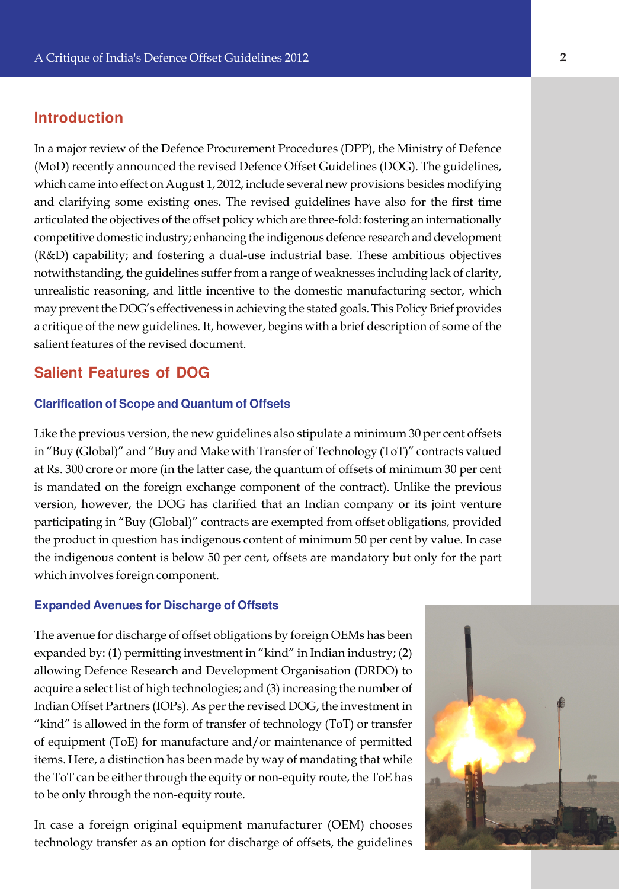# **Introduction**

In a major review of the Defence Procurement Procedures (DPP), the Ministry of Defence (MoD) recently announced the revised Defence Offset Guidelines (DOG). The guidelines, which came into effect on August 1, 2012, include several new provisions besides modifying and clarifying some existing ones. The revised guidelines have also for the first time articulated the objectives of the offset policy which are three-fold: fostering an internationally competitive domestic industry; enhancing the indigenous defence research and development (R&D) capability; and fostering a dual-use industrial base. These ambitious objectives notwithstanding, the guidelines suffer from a range of weaknesses including lack of clarity, unrealistic reasoning, and little incentive to the domestic manufacturing sector, which may prevent the DOG's effectiveness in achieving the stated goals. This Policy Brief provides a critique of the new guidelines. It, however, begins with a brief description of some of the salient features of the revised document.

# **Salient Features of DOG**

#### **Clarification of Scope and Quantum of Offsets**

Like the previous version, the new guidelines also stipulate a minimum 30 per cent offsets in "Buy (Global)" and "Buy and Make with Transfer of Technology (ToT)" contracts valued at Rs. 300 crore or more (in the latter case, the quantum of offsets of minimum 30 per cent is mandated on the foreign exchange component of the contract). Unlike the previous version, however, the DOG has clarified that an Indian company or its joint venture participating in "Buy (Global)" contracts are exempted from offset obligations, provided the product in question has indigenous content of minimum 50 per cent by value. In case the indigenous content is below 50 per cent, offsets are mandatory but only for the part which involves foreign component.

#### **Expanded Avenues for Discharge of Offsets**

The avenue for discharge of offset obligations by foreign OEMs has been expanded by: (1) permitting investment in "kind" in Indian industry; (2) allowing Defence Research and Development Organisation (DRDO) to acquire a select list of high technologies; and (3) increasing the number of Indian Offset Partners (IOPs). As per the revised DOG, the investment in "kind" is allowed in the form of transfer of technology (ToT) or transfer of equipment (ToE) for manufacture and/or maintenance of permitted items. Here, a distinction has been made by way of mandating that while the ToT can be either through the equity or non-equity route, the ToE has to be only through the non-equity route.

In case a foreign original equipment manufacturer (OEM) chooses technology transfer as an option for discharge of offsets, the guidelines

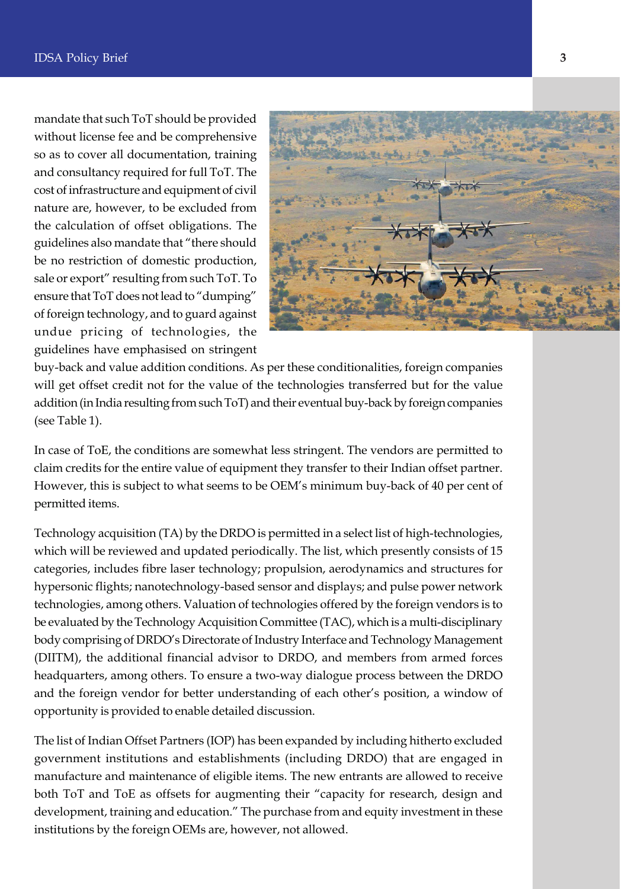mandate that such ToT should be provided without license fee and be comprehensive so as to cover all documentation, training and consultancy required for full ToT. The cost of infrastructure and equipment of civil nature are, however, to be excluded from the calculation of offset obligations. The guidelines also mandate that "there should be no restriction of domestic production, sale or export" resulting from such ToT. To ensure that ToT does not lead to "dumping" of foreign technology, and to guard against undue pricing of technologies, the guidelines have emphasised on stringent



buy-back and value addition conditions. As per these conditionalities, foreign companies will get offset credit not for the value of the technologies transferred but for the value addition (in India resulting from such ToT) and their eventual buy-back by foreign companies (see Table 1).

In case of ToE, the conditions are somewhat less stringent. The vendors are permitted to claim credits for the entire value of equipment they transfer to their Indian offset partner. However, this is subject to what seems to be OEM's minimum buy-back of 40 per cent of permitted items.

Technology acquisition (TA) by the DRDO is permitted in a select list of high-technologies, which will be reviewed and updated periodically. The list, which presently consists of 15 categories, includes fibre laser technology; propulsion, aerodynamics and structures for hypersonic flights; nanotechnology-based sensor and displays; and pulse power network technologies, among others. Valuation of technologies offered by the foreign vendors is to be evaluated by the Technology Acquisition Committee (TAC), which is a multi-disciplinary body comprising of DRDO's Directorate of Industry Interface and Technology Management (DIITM), the additional financial advisor to DRDO, and members from armed forces headquarters, among others. To ensure a two-way dialogue process between the DRDO and the foreign vendor for better understanding of each other's position, a window of opportunity is provided to enable detailed discussion.

The list of Indian Offset Partners (IOP) has been expanded by including hitherto excluded government institutions and establishments (including DRDO) that are engaged in manufacture and maintenance of eligible items. The new entrants are allowed to receive both ToT and ToE as offsets for augmenting their "capacity for research, design and development, training and education." The purchase from and equity investment in these institutions by the foreign OEMs are, however, not allowed.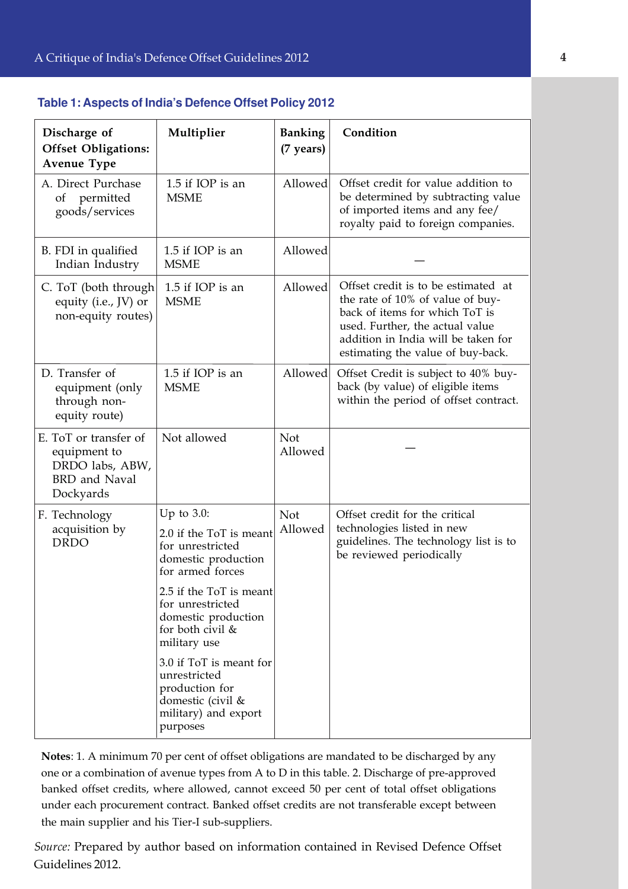| Discharge of<br><b>Offset Obligations:</b><br><b>Avenue Type</b>                              | Multiplier                                                                                                         | <b>Banking</b><br>(7 years) | Condition                                                                                                                                                                                                                |
|-----------------------------------------------------------------------------------------------|--------------------------------------------------------------------------------------------------------------------|-----------------------------|--------------------------------------------------------------------------------------------------------------------------------------------------------------------------------------------------------------------------|
| A. Direct Purchase<br>permitted<br>of<br>goods/services                                       | 1.5 if IOP is an<br><b>MSME</b>                                                                                    | Allowed                     | Offset credit for value addition to<br>be determined by subtracting value<br>of imported items and any fee/<br>royalty paid to foreign companies.                                                                        |
| B. FDI in qualified<br>Indian Industry                                                        | 1.5 if IOP is an<br><b>MSME</b>                                                                                    | Allowed                     |                                                                                                                                                                                                                          |
| C. ToT (both through<br>equity (i.e., JV) or<br>non-equity routes)                            | 1.5 if IOP is an<br><b>MSME</b>                                                                                    | Allowed                     | Offset credit is to be estimated at<br>the rate of 10% of value of buy-<br>back of items for which ToT is<br>used. Further, the actual value<br>addition in India will be taken for<br>estimating the value of buy-back. |
| D. Transfer of<br>equipment (only<br>through non-<br>equity route)                            | 1.5 if IOP is an<br><b>MSME</b>                                                                                    | Allowed                     | Offset Credit is subject to 40% buy-<br>back (by value) of eligible items<br>within the period of offset contract.                                                                                                       |
| E. ToT or transfer of<br>equipment to<br>DRDO labs, ABW,<br><b>BRD</b> and Naval<br>Dockyards | Not allowed                                                                                                        | <b>Not</b><br>Allowed       |                                                                                                                                                                                                                          |
| F. Technology<br>acquisition by<br><b>DRDO</b>                                                | Up to $3.0$ :<br>2.0 if the ToT is meant<br>for unrestricted<br>domestic production<br>for armed forces            | <b>Not</b><br>Allowed       | Offset credit for the critical<br>technologies listed in new<br>guidelines. The technology list is to<br>be reviewed periodically                                                                                        |
|                                                                                               | 2.5 if the ToT is meant<br>for unrestricted<br>domestic production<br>for both civil &<br>military use             |                             |                                                                                                                                                                                                                          |
|                                                                                               | 3.0 if ToT is meant for<br>unrestricted<br>production for<br>domestic (civil &<br>military) and export<br>purposes |                             |                                                                                                                                                                                                                          |

#### **Table 1: Aspects of India's Defence Offset Policy 2012**

**Notes**: 1. A minimum 70 per cent of offset obligations are mandated to be discharged by any one or a combination of avenue types from A to D in this table. 2. Discharge of pre-approved banked offset credits, where allowed, cannot exceed 50 per cent of total offset obligations under each procurement contract. Banked offset credits are not transferable except between the main supplier and his Tier-I sub-suppliers.

*Source:* Prepared by author based on information contained in Revised Defence Offset Guidelines 2012.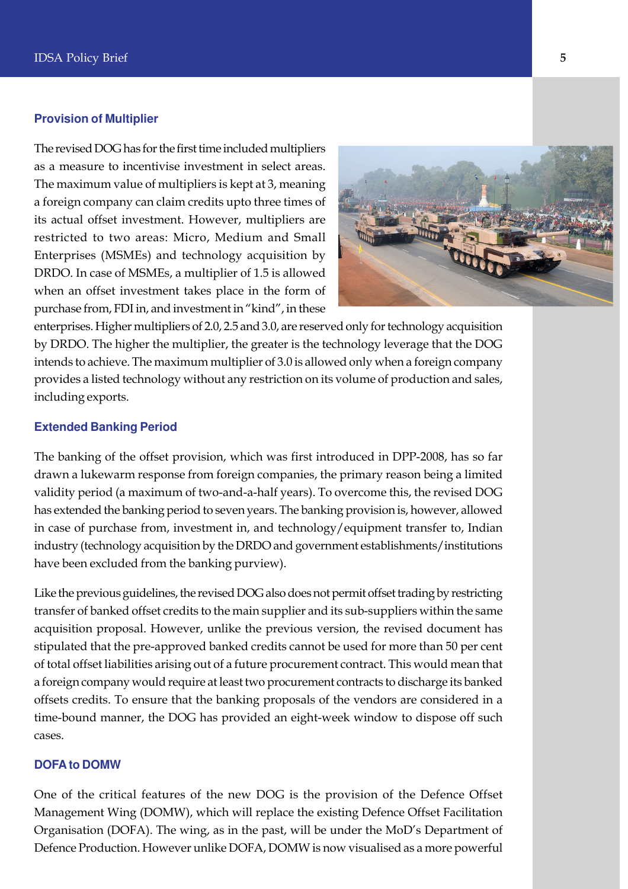#### **Provision of Multiplier**

The revised DOG has for the first time included multipliers as a measure to incentivise investment in select areas. The maximum value of multipliers is kept at 3, meaning a foreign company can claim credits upto three times of its actual offset investment. However, multipliers are restricted to two areas: Micro, Medium and Small Enterprises (MSMEs) and technology acquisition by DRDO. In case of MSMEs, a multiplier of 1.5 is allowed when an offset investment takes place in the form of purchase from, FDI in, and investment in "kind", in these



enterprises. Higher multipliers of 2.0, 2.5 and 3.0, are reserved only for technology acquisition by DRDO. The higher the multiplier, the greater is the technology leverage that the DOG intends to achieve. The maximum multiplier of 3.0 is allowed only when a foreign company provides a listed technology without any restriction on its volume of production and sales, including exports.

#### **Extended Banking Period**

The banking of the offset provision, which was first introduced in DPP-2008, has so far drawn a lukewarm response from foreign companies, the primary reason being a limited validity period (a maximum of two-and-a-half years). To overcome this, the revised DOG has extended the banking period to seven years. The banking provision is, however, allowed in case of purchase from, investment in, and technology/equipment transfer to, Indian industry (technology acquisition by the DRDO and government establishments/institutions have been excluded from the banking purview).

Like the previous guidelines, the revised DOG also does not permit offset trading by restricting transfer of banked offset credits to the main supplier and its sub-suppliers within the same acquisition proposal. However, unlike the previous version, the revised document has stipulated that the pre-approved banked credits cannot be used for more than 50 per cent of total offset liabilities arising out of a future procurement contract. This would mean that a foreign company would require at least two procurement contracts to discharge its banked offsets credits. To ensure that the banking proposals of the vendors are considered in a time-bound manner, the DOG has provided an eight-week window to dispose off such cases.

#### **DOFA to DOMW**

One of the critical features of the new DOG is the provision of the Defence Offset Management Wing (DOMW), which will replace the existing Defence Offset Facilitation Organisation (DOFA). The wing, as in the past, will be under the MoD's Department of Defence Production. However unlike DOFA, DOMW is now visualised as a more powerful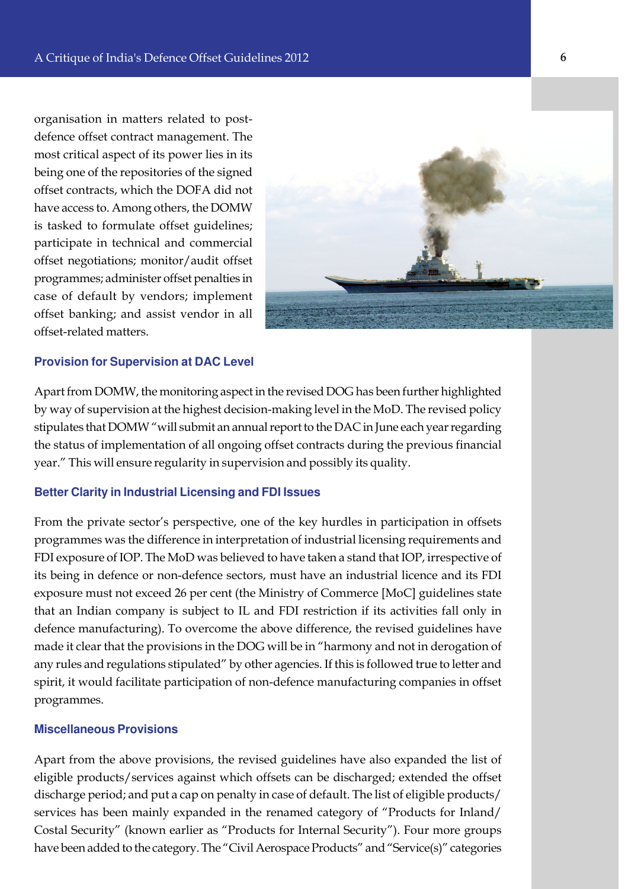organisation in matters related to postdefence offset contract management. The most critical aspect of its power lies in its being one of the repositories of the signed offset contracts, which the DOFA did not have access to. Among others, the DOMW is tasked to formulate offset guidelines; participate in technical and commercial offset negotiations; monitor/audit offset programmes; administer offset penalties in case of default by vendors; implement offset banking; and assist vendor in all offset-related matters.



# **Provision for Supervision at DAC Level**

Apart from DOMW, the monitoring aspect in the revised DOG has been further highlighted by way of supervision at the highest decision-making level in the MoD. The revised policy stipulates that DOMW "will submit an annual report to the DAC in June each year regarding the status of implementation of all ongoing offset contracts during the previous financial year." This will ensure regularity in supervision and possibly its quality.

#### **Better Clarity in Industrial Licensing and FDI Issues**

From the private sector's perspective, one of the key hurdles in participation in offsets programmes was the difference in interpretation of industrial licensing requirements and FDI exposure of IOP. The MoD was believed to have taken a stand that IOP, irrespective of its being in defence or non-defence sectors, must have an industrial licence and its FDI exposure must not exceed 26 per cent (the Ministry of Commerce [MoC] guidelines state that an Indian company is subject to IL and FDI restriction if its activities fall only in defence manufacturing). To overcome the above difference, the revised guidelines have made it clear that the provisions in the DOG will be in "harmony and not in derogation of any rules and regulations stipulated" by other agencies. If this is followed true to letter and spirit, it would facilitate participation of non-defence manufacturing companies in offset programmes.

#### **Miscellaneous Provisions**

Apart from the above provisions, the revised guidelines have also expanded the list of eligible products/services against which offsets can be discharged; extended the offset discharge period; and put a cap on penalty in case of default. The list of eligible products/ services has been mainly expanded in the renamed category of "Products for Inland/ Costal Security" (known earlier as "Products for Internal Security"). Four more groups have been added to the category. The "Civil Aerospace Products" and "Service(s)" categories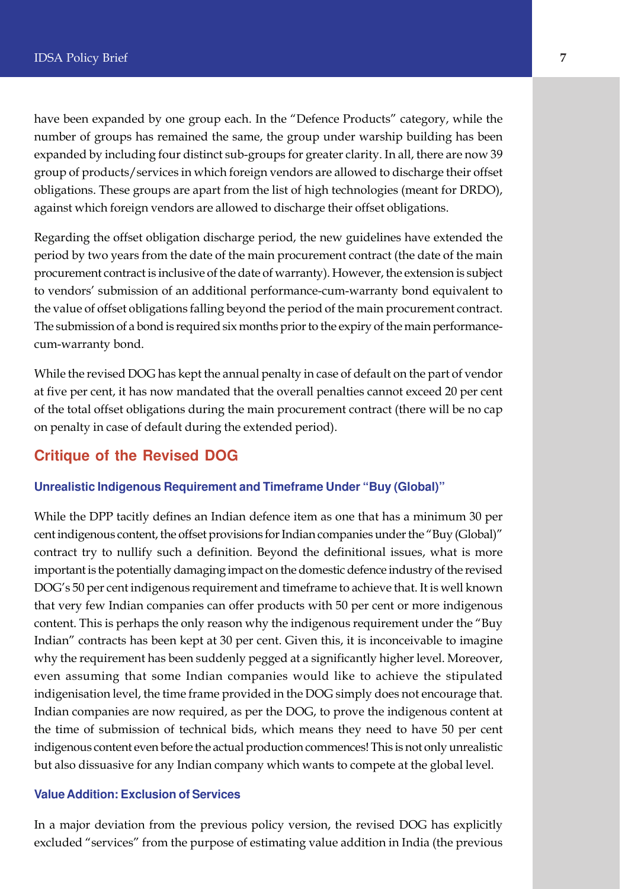have been expanded by one group each. In the "Defence Products" category, while the number of groups has remained the same, the group under warship building has been expanded by including four distinct sub-groups for greater clarity. In all, there are now 39 group of products/services in which foreign vendors are allowed to discharge their offset obligations. These groups are apart from the list of high technologies (meant for DRDO), against which foreign vendors are allowed to discharge their offset obligations.

Regarding the offset obligation discharge period, the new guidelines have extended the period by two years from the date of the main procurement contract (the date of the main procurement contract is inclusive of the date of warranty). However, the extension is subject to vendors' submission of an additional performance-cum-warranty bond equivalent to the value of offset obligations falling beyond the period of the main procurement contract. The submission of a bond is required six months prior to the expiry of the main performancecum-warranty bond.

While the revised DOG has kept the annual penalty in case of default on the part of vendor at five per cent, it has now mandated that the overall penalties cannot exceed 20 per cent of the total offset obligations during the main procurement contract (there will be no cap on penalty in case of default during the extended period).

# **Critique of the Revised DOG**

#### **Unrealistic Indigenous Requirement and Timeframe Under "Buy (Global)"**

While the DPP tacitly defines an Indian defence item as one that has a minimum 30 per cent indigenous content, the offset provisions for Indian companies under the "Buy (Global)" contract try to nullify such a definition. Beyond the definitional issues, what is more important is the potentially damaging impact on the domestic defence industry of the revised DOG's 50 per cent indigenous requirement and timeframe to achieve that. It is well known that very few Indian companies can offer products with 50 per cent or more indigenous content. This is perhaps the only reason why the indigenous requirement under the "Buy Indian" contracts has been kept at 30 per cent. Given this, it is inconceivable to imagine why the requirement has been suddenly pegged at a significantly higher level. Moreover, even assuming that some Indian companies would like to achieve the stipulated indigenisation level, the time frame provided in the DOG simply does not encourage that. Indian companies are now required, as per the DOG, to prove the indigenous content at the time of submission of technical bids, which means they need to have 50 per cent indigenous content even before the actual production commences! This is not only unrealistic but also dissuasive for any Indian company which wants to compete at the global level.

#### **Value Addition: Exclusion of Services**

In a major deviation from the previous policy version, the revised DOG has explicitly excluded "services" from the purpose of estimating value addition in India (the previous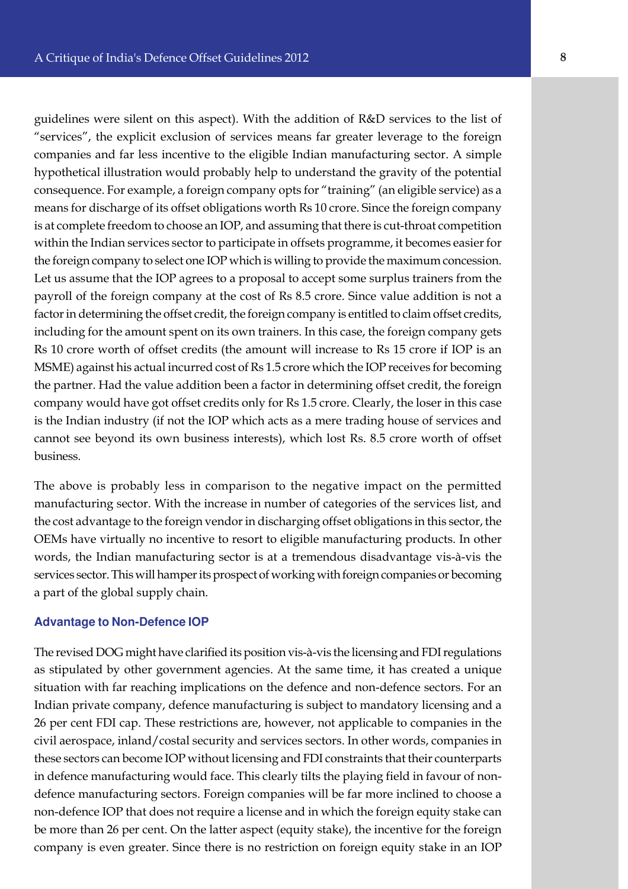guidelines were silent on this aspect). With the addition of R&D services to the list of "services", the explicit exclusion of services means far greater leverage to the foreign companies and far less incentive to the eligible Indian manufacturing sector. A simple hypothetical illustration would probably help to understand the gravity of the potential consequence. For example, a foreign company opts for "training" (an eligible service) as a means for discharge of its offset obligations worth Rs 10 crore. Since the foreign company is at complete freedom to choose an IOP, and assuming that there is cut-throat competition within the Indian services sector to participate in offsets programme, it becomes easier for the foreign company to select one IOP which is willing to provide the maximum concession. Let us assume that the IOP agrees to a proposal to accept some surplus trainers from the payroll of the foreign company at the cost of Rs 8.5 crore. Since value addition is not a factor in determining the offset credit, the foreign company is entitled to claim offset credits, including for the amount spent on its own trainers. In this case, the foreign company gets Rs 10 crore worth of offset credits (the amount will increase to Rs 15 crore if IOP is an MSME) against his actual incurred cost of Rs 1.5 crore which the IOP receives for becoming the partner. Had the value addition been a factor in determining offset credit, the foreign company would have got offset credits only for Rs 1.5 crore. Clearly, the loser in this case is the Indian industry (if not the IOP which acts as a mere trading house of services and cannot see beyond its own business interests), which lost Rs. 8.5 crore worth of offset business.

The above is probably less in comparison to the negative impact on the permitted manufacturing sector. With the increase in number of categories of the services list, and the cost advantage to the foreign vendor in discharging offset obligations in this sector, the OEMs have virtually no incentive to resort to eligible manufacturing products. In other words, the Indian manufacturing sector is at a tremendous disadvantage vis-à-vis the services sector. This will hamper its prospect of working with foreign companies or becoming a part of the global supply chain.

#### **Advantage to Non-Defence IOP**

The revised DOG might have clarified its position vis-à-vis the licensing and FDI regulations as stipulated by other government agencies. At the same time, it has created a unique situation with far reaching implications on the defence and non-defence sectors. For an Indian private company, defence manufacturing is subject to mandatory licensing and a 26 per cent FDI cap. These restrictions are, however, not applicable to companies in the civil aerospace, inland/costal security and services sectors. In other words, companies in these sectors can become IOP without licensing and FDI constraints that their counterparts in defence manufacturing would face. This clearly tilts the playing field in favour of nondefence manufacturing sectors. Foreign companies will be far more inclined to choose a non-defence IOP that does not require a license and in which the foreign equity stake can be more than 26 per cent. On the latter aspect (equity stake), the incentive for the foreign company is even greater. Since there is no restriction on foreign equity stake in an IOP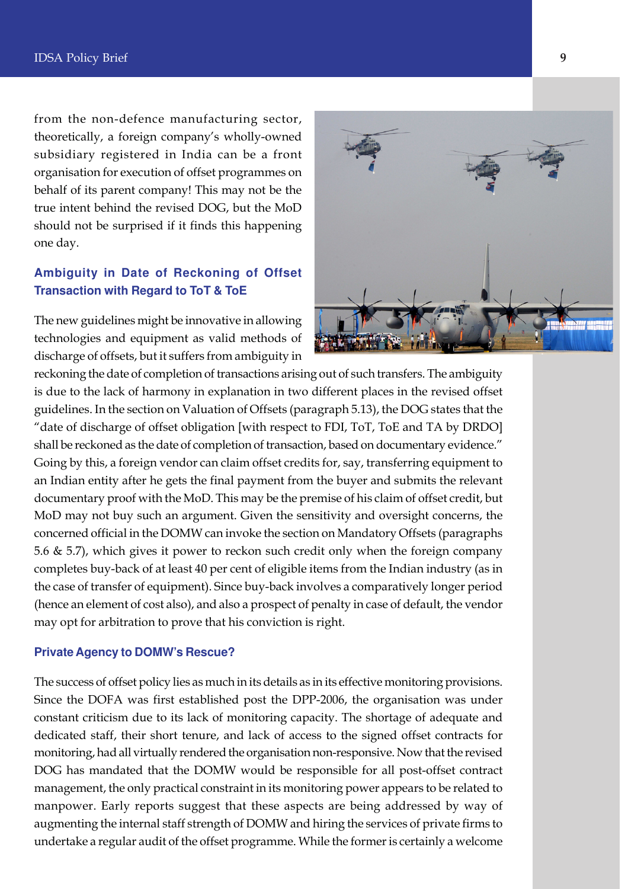from the non-defence manufacturing sector, theoretically, a foreign company's wholly-owned subsidiary registered in India can be a front organisation for execution of offset programmes on behalf of its parent company! This may not be the true intent behind the revised DOG, but the MoD should not be surprised if it finds this happening one day.

# **Ambiguity in Date of Reckoning of Offset Transaction with Regard to ToT & ToE**

The new guidelines might be innovative in allowing technologies and equipment as valid methods of discharge of offsets, but it suffers from ambiguity in



reckoning the date of completion of transactions arising out of such transfers. The ambiguity is due to the lack of harmony in explanation in two different places in the revised offset guidelines. In the section on Valuation of Offsets (paragraph 5.13), the DOG states that the "date of discharge of offset obligation [with respect to FDI, ToT, ToE and TA by DRDO] shall be reckoned as the date of completion of transaction, based on documentary evidence." Going by this, a foreign vendor can claim offset credits for, say, transferring equipment to an Indian entity after he gets the final payment from the buyer and submits the relevant documentary proof with the MoD. This may be the premise of his claim of offset credit, but MoD may not buy such an argument. Given the sensitivity and oversight concerns, the concerned official in the DOMW can invoke the section on Mandatory Offsets (paragraphs 5.6 & 5.7), which gives it power to reckon such credit only when the foreign company completes buy-back of at least 40 per cent of eligible items from the Indian industry (as in the case of transfer of equipment). Since buy-back involves a comparatively longer period (hence an element of cost also), and also a prospect of penalty in case of default, the vendor may opt for arbitration to prove that his conviction is right.

#### **Private Agency to DOMW's Rescue?**

The success of offset policy lies as much in its details as in its effective monitoring provisions. Since the DOFA was first established post the DPP-2006, the organisation was under constant criticism due to its lack of monitoring capacity. The shortage of adequate and dedicated staff, their short tenure, and lack of access to the signed offset contracts for monitoring, had all virtually rendered the organisation non-responsive. Now that the revised DOG has mandated that the DOMW would be responsible for all post-offset contract management, the only practical constraint in its monitoring power appears to be related to manpower. Early reports suggest that these aspects are being addressed by way of augmenting the internal staff strength of DOMW and hiring the services of private firms to undertake a regular audit of the offset programme. While the former is certainly a welcome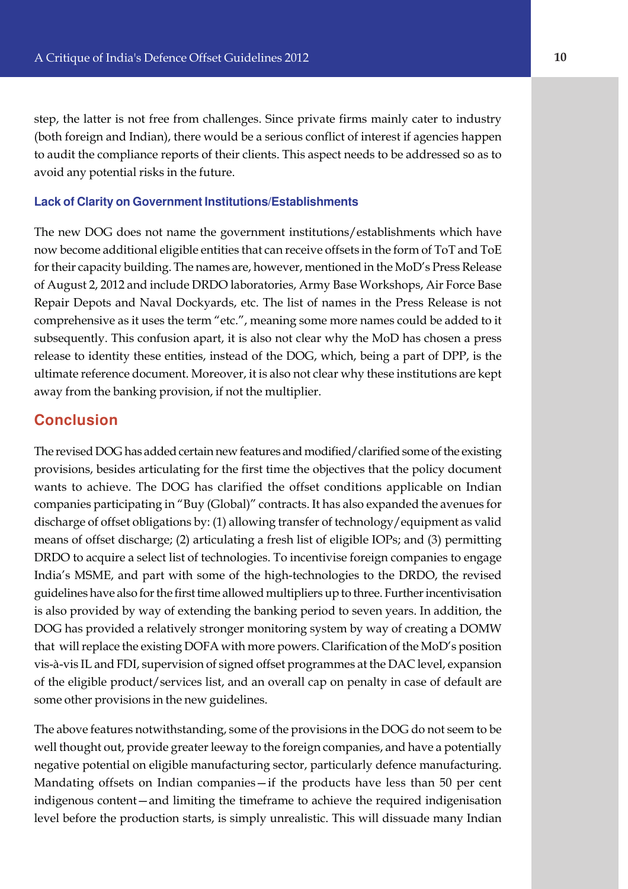step, the latter is not free from challenges. Since private firms mainly cater to industry (both foreign and Indian), there would be a serious conflict of interest if agencies happen to audit the compliance reports of their clients. This aspect needs to be addressed so as to avoid any potential risks in the future.

#### **Lack of Clarity on Government Institutions/Establishments**

The new DOG does not name the government institutions/establishments which have now become additional eligible entities that can receive offsets in the form of ToT and ToE for their capacity building. The names are, however, mentioned in the MoD's Press Release of August 2, 2012 and include DRDO laboratories, Army Base Workshops, Air Force Base Repair Depots and Naval Dockyards, etc. The list of names in the Press Release is not comprehensive as it uses the term "etc.", meaning some more names could be added to it subsequently. This confusion apart, it is also not clear why the MoD has chosen a press release to identity these entities, instead of the DOG, which, being a part of DPP, is the ultimate reference document. Moreover, it is also not clear why these institutions are kept away from the banking provision, if not the multiplier.

### **Conclusion**

The revised DOG has added certain new features and modified/clarified some of the existing provisions, besides articulating for the first time the objectives that the policy document wants to achieve. The DOG has clarified the offset conditions applicable on Indian companies participating in "Buy (Global)" contracts. It has also expanded the avenues for discharge of offset obligations by: (1) allowing transfer of technology/equipment as valid means of offset discharge; (2) articulating a fresh list of eligible IOPs; and (3) permitting DRDO to acquire a select list of technologies. To incentivise foreign companies to engage India's MSME, and part with some of the high-technologies to the DRDO, the revised guidelines have also for the first time allowed multipliers up to three. Further incentivisation is also provided by way of extending the banking period to seven years. In addition, the DOG has provided a relatively stronger monitoring system by way of creating a DOMW that will replace the existing DOFA with more powers. Clarification of the MoD's position vis-à-vis IL and FDI, supervision of signed offset programmes at the DAC level, expansion of the eligible product/services list, and an overall cap on penalty in case of default are some other provisions in the new guidelines.

The above features notwithstanding, some of the provisions in the DOG do not seem to be well thought out, provide greater leeway to the foreign companies, and have a potentially negative potential on eligible manufacturing sector, particularly defence manufacturing. Mandating offsets on Indian companies—if the products have less than 50 per cent indigenous content—and limiting the timeframe to achieve the required indigenisation level before the production starts, is simply unrealistic. This will dissuade many Indian